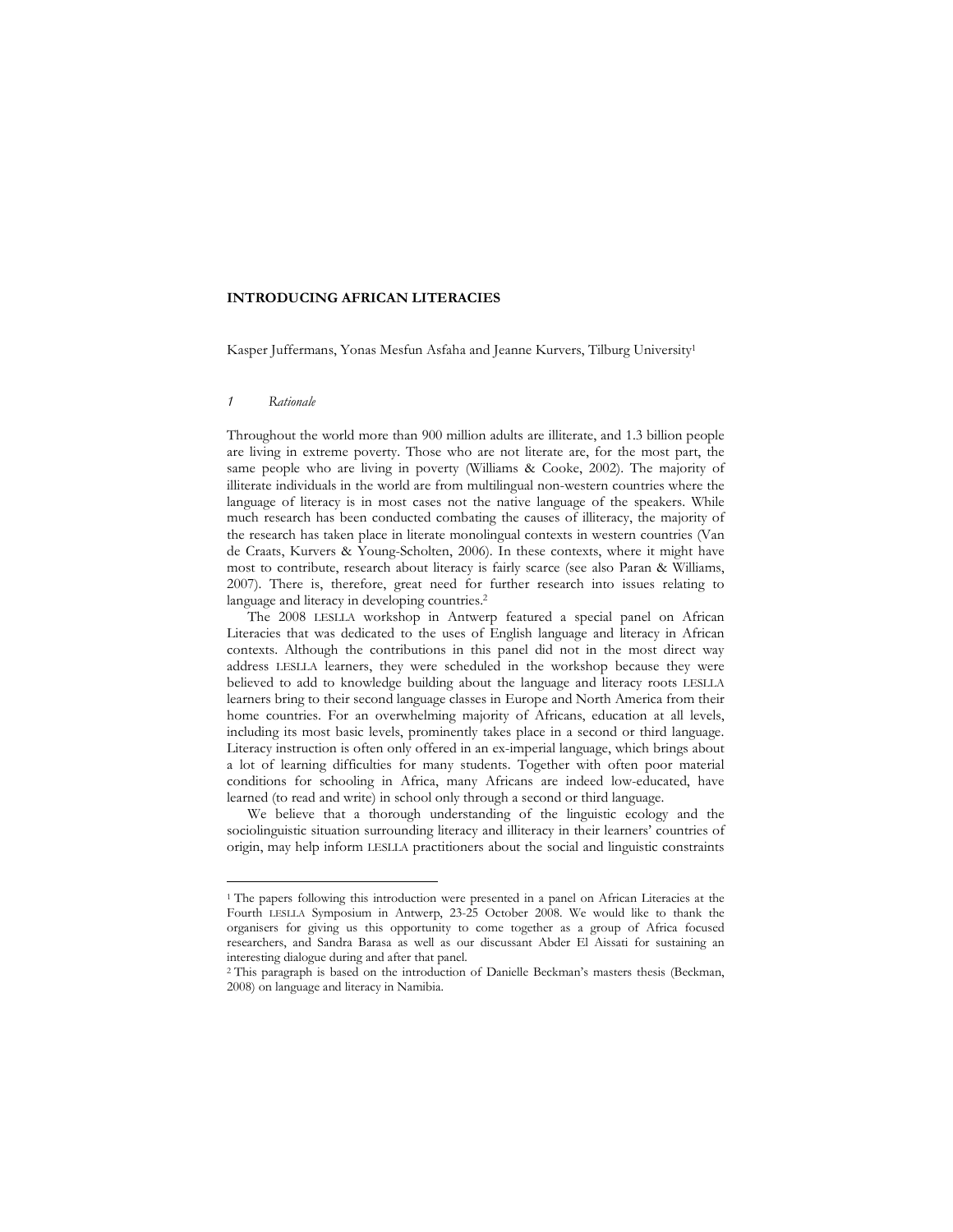## **INTRODUCING AFRICAN LITERACIES**

Kasper Juffermans, Yonas Mesfun Asfaha and Jeanne Kurvers, Tilburg University<sup>1</sup>

#### *1 Rationale*

 $\overline{a}$ 

Throughout the world more than 900 million adults are illiterate, and 1.3 billion people are living in extreme poverty. Those who are not literate are, for the most part, the same people who are living in poverty (Williams & Cooke, 2002). The majority of illiterate individuals in the world are from multilingual non-western countries where the language of literacy is in most cases not the native language of the speakers. While much research has been conducted combating the causes of illiteracy, the majority of the research has taken place in literate monolingual contexts in western countries (Van de Craats, Kurvers & Young-Scholten, 2006). In these contexts, where it might have most to contribute, research about literacy is fairly scarce (see also Paran & Williams, 2007). There is, therefore, great need for further research into issues relating to language and literacy in developing countries.<sup>2</sup>

 The 2008 LESLLA workshop in Antwerp featured a special panel on African Literacies that was dedicated to the uses of English language and literacy in African contexts. Although the contributions in this panel did not in the most direct way address LESLLA learners, they were scheduled in the workshop because they were believed to add to knowledge building about the language and literacy roots LESLLA learners bring to their second language classes in Europe and North America from their home countries. For an overwhelming majority of Africans, education at all levels, including its most basic levels, prominently takes place in a second or third language. Literacy instruction is often only offered in an ex-imperial language, which brings about a lot of learning difficulties for many students. Together with often poor material conditions for schooling in Africa, many Africans are indeed low-educated, have learned (to read and write) in school only through a second or third language.

 We believe that a thorough understanding of the linguistic ecology and the sociolinguistic situation surrounding literacy and illiteracy in their learners' countries of origin, may help inform LESLLA practitioners about the social and linguistic constraints

<sup>&</sup>lt;sup>1</sup> The papers following this introduction were presented in a panel on African Literacies at the Fourth LESLLA Symposium in Antwerp, 23-25 October 2008. We would like to thank the organisers for giving us this opportunity to come together as a group of Africa focused researchers, and Sandra Barasa as well as our discussant Abder El Aissati for sustaining an interesting dialogue during and after that panel.

<sup>2</sup> This paragraph is based on the introduction of Danielle Beckman's masters thesis (Beckman, 2008) on language and literacy in Namibia.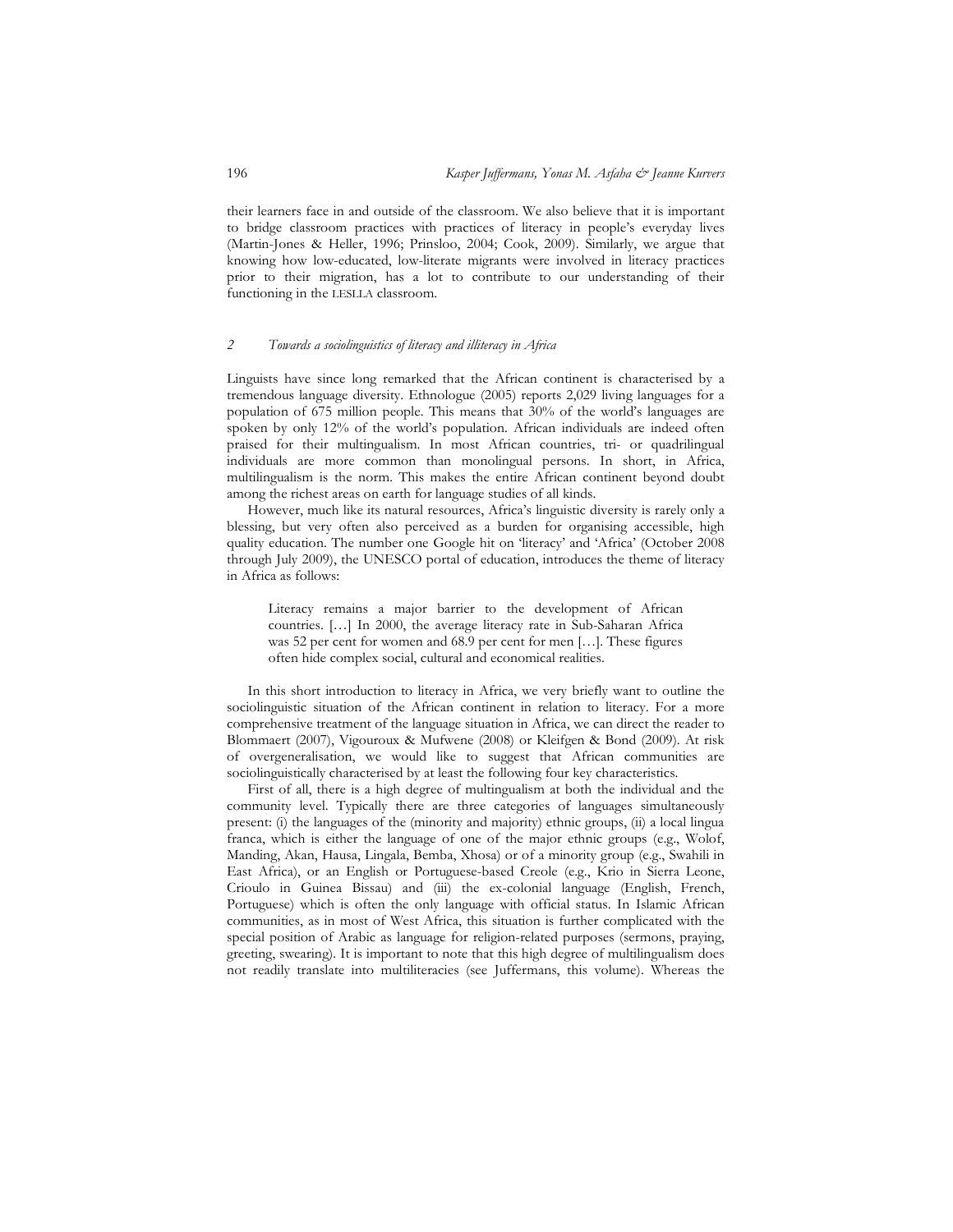their learners face in and outside of the classroom. We also believe that it is important to bridge classroom practices with practices of literacy in people's everyday lives (Martin-Jones & Heller, 1996; Prinsloo, 2004; Cook, 2009). Similarly, we argue that knowing how low-educated, low-literate migrants were involved in literacy practices prior to their migration, has a lot to contribute to our understanding of their functioning in the LESLLA classroom.

### *2 Towards a sociolinguistics of literacy and illiteracy in Africa*

Linguists have since long remarked that the African continent is characterised by a tremendous language diversity. Ethnologue (2005) reports 2,029 living languages for a population of 675 million people. This means that 30% of the world's languages are spoken by only 12% of the world's population. African individuals are indeed often praised for their multingualism. In most African countries, tri- or quadrilingual individuals are more common than monolingual persons. In short, in Africa, multilingualism is the norm. This makes the entire African continent beyond doubt among the richest areas on earth for language studies of all kinds.

 However, much like its natural resources, Africa's linguistic diversity is rarely only a blessing, but very often also perceived as a burden for organising accessible, high quality education. The number one Google hit on 'literacy' and 'Africa' (October 2008 through July 2009), the UNESCO portal of education, introduces the theme of literacy in Africa as follows:

Literacy remains a major barrier to the development of African countries. […] In 2000, the average literacy rate in Sub-Saharan Africa was 52 per cent for women and 68.9 per cent for men […]. These figures often hide complex social, cultural and economical realities.

 In this short introduction to literacy in Africa, we very briefly want to outline the sociolinguistic situation of the African continent in relation to literacy. For a more comprehensive treatment of the language situation in Africa, we can direct the reader to Blommaert (2007), Vigouroux & Mufwene (2008) or Kleifgen & Bond (2009). At risk of overgeneralisation, we would like to suggest that African communities are sociolinguistically characterised by at least the following four key characteristics.

 First of all, there is a high degree of multingualism at both the individual and the community level. Typically there are three categories of languages simultaneously present: (i) the languages of the (minority and majority) ethnic groups, (ii) a local lingua franca, which is either the language of one of the major ethnic groups (e.g., Wolof, Manding, Akan, Hausa, Lingala, Bemba, Xhosa) or of a minority group (e.g., Swahili in East Africa), or an English or Portuguese-based Creole (e.g., Krio in Sierra Leone, Crioulo in Guinea Bissau) and (iii) the ex-colonial language (English, French, Portuguese) which is often the only language with official status. In Islamic African communities, as in most of West Africa, this situation is further complicated with the special position of Arabic as language for religion-related purposes (sermons, praying, greeting, swearing). It is important to note that this high degree of multilingualism does not readily translate into multiliteracies (see Juffermans, this volume). Whereas the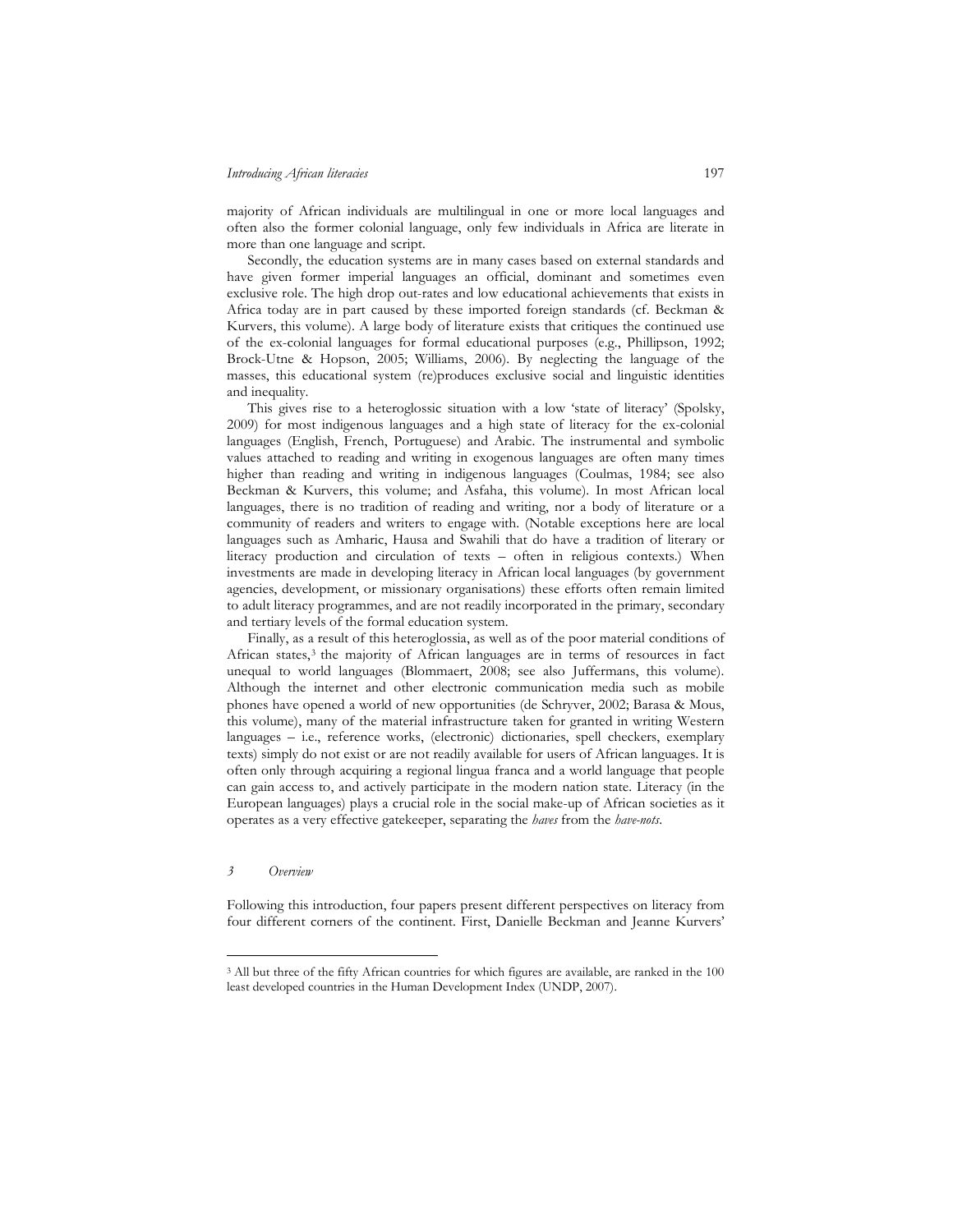### *Introducing African literacies* 197

majority of African individuals are multilingual in one or more local languages and often also the former colonial language, only few individuals in Africa are literate in more than one language and script.

 Secondly, the education systems are in many cases based on external standards and have given former imperial languages an official, dominant and sometimes even exclusive role. The high drop out-rates and low educational achievements that exists in Africa today are in part caused by these imported foreign standards (cf. Beckman & Kurvers, this volume). A large body of literature exists that critiques the continued use of the ex-colonial languages for formal educational purposes (e.g., Phillipson, 1992; Brock-Utne & Hopson, 2005; Williams, 2006). By neglecting the language of the masses, this educational system (re)produces exclusive social and linguistic identities and inequality.

 This gives rise to a heteroglossic situation with a low 'state of literacy' (Spolsky, 2009) for most indigenous languages and a high state of literacy for the ex-colonial languages (English, French, Portuguese) and Arabic. The instrumental and symbolic values attached to reading and writing in exogenous languages are often many times higher than reading and writing in indigenous languages (Coulmas, 1984; see also Beckman & Kurvers, this volume; and Asfaha, this volume). In most African local languages, there is no tradition of reading and writing, nor a body of literature or a community of readers and writers to engage with. (Notable exceptions here are local languages such as Amharic, Hausa and Swahili that do have a tradition of literary or literacy production and circulation of texts – often in religious contexts.) When investments are made in developing literacy in African local languages (by government agencies, development, or missionary organisations) these efforts often remain limited to adult literacy programmes, and are not readily incorporated in the primary, secondary and tertiary levels of the formal education system.

 Finally, as a result of this heteroglossia, as well as of the poor material conditions of African states,<sup>3</sup> the majority of African languages are in terms of resources in fact unequal to world languages (Blommaert, 2008; see also Juffermans, this volume). Although the internet and other electronic communication media such as mobile phones have opened a world of new opportunities (de Schryver, 2002; Barasa & Mous, this volume), many of the material infrastructure taken for granted in writing Western languages – i.e., reference works, (electronic) dictionaries, spell checkers, exemplary texts) simply do not exist or are not readily available for users of African languages. It is often only through acquiring a regional lingua franca and a world language that people can gain access to, and actively participate in the modern nation state. Literacy (in the European languages) plays a crucial role in the social make-up of African societies as it operates as a very effective gatekeeper, separating the *haves* from the *have-nots*.

### *3 Overview*

 $\overline{a}$ 

Following this introduction, four papers present different perspectives on literacy from four different corners of the continent. First, Danielle Beckman and Jeanne Kurvers'

<sup>&</sup>lt;sup>3</sup> All but three of the fifty African countries for which figures are available, are ranked in the 100 least developed countries in the Human Development Index (UNDP, 2007).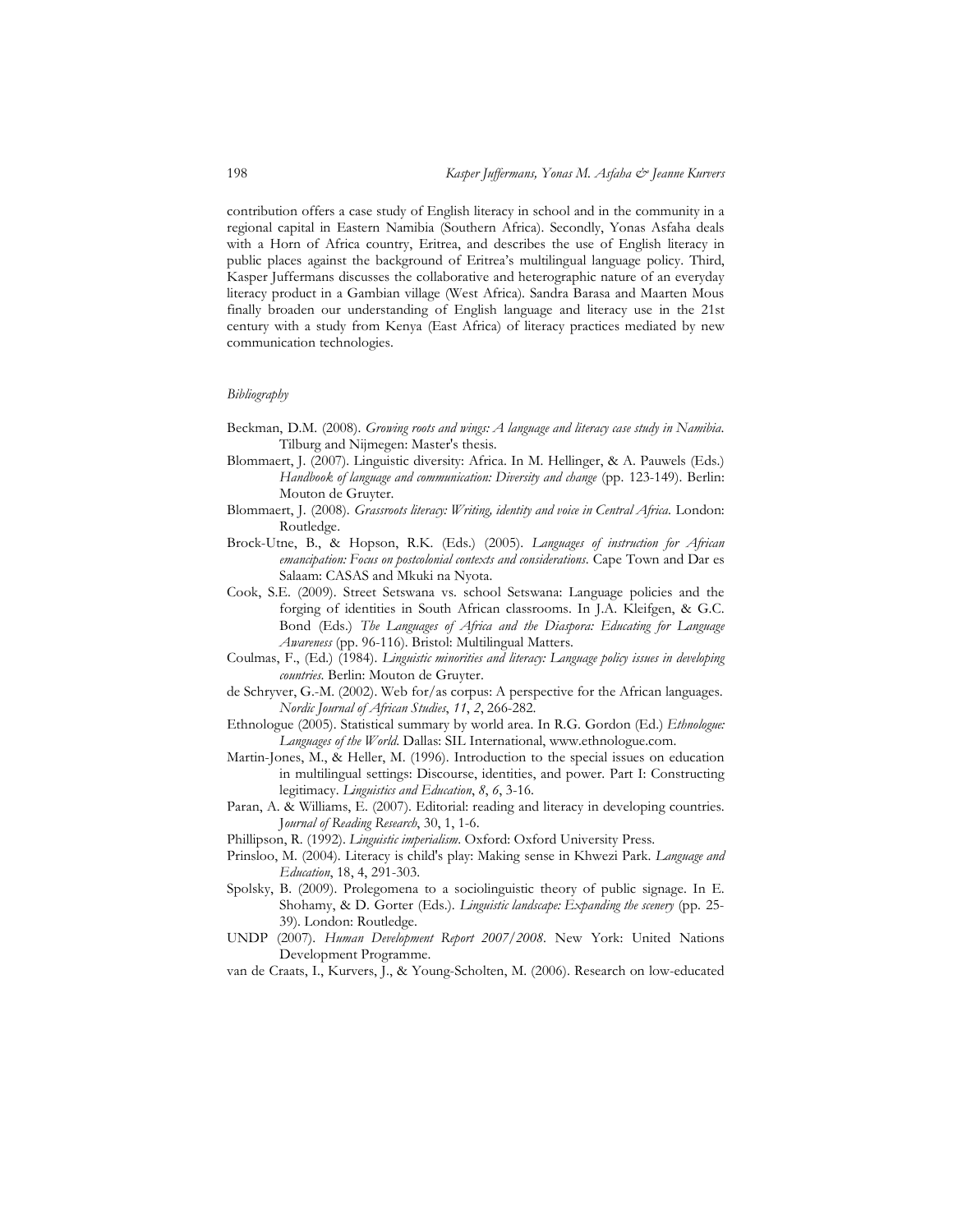contribution offers a case study of English literacy in school and in the community in a regional capital in Eastern Namibia (Southern Africa). Secondly, Yonas Asfaha deals with a Horn of Africa country, Eritrea, and describes the use of English literacy in public places against the background of Eritrea's multilingual language policy. Third, Kasper Juffermans discusses the collaborative and heterographic nature of an everyday literacy product in a Gambian village (West Africa). Sandra Barasa and Maarten Mous finally broaden our understanding of English language and literacy use in the 21st century with a study from Kenya (East Africa) of literacy practices mediated by new communication technologies.

#### *Bibliography*

- Beckman, D.M. (2008). *Growing roots and wings: A language and literacy case study in Namibia*. Tilburg and Nijmegen: Master's thesis.
- Blommaert, J. (2007). Linguistic diversity: Africa. In M. Hellinger, & A. Pauwels (Eds.) *Handbook of language and communication: Diversity and change* (pp. 123-149). Berlin: Mouton de Gruyter.
- Blommaert, J. (2008). *Grassroots literacy: Writing, identity and voice in Central Africa*. London: Routledge.
- Brock-Utne, B., & Hopson, R.K. (Eds.) (2005). *Languages of instruction for African emancipation: Focus on postcolonial contexts and considerations*. Cape Town and Dar es Salaam: CASAS and Mkuki na Nyota.
- Cook, S.E. (2009). Street Setswana vs. school Setswana: Language policies and the forging of identities in South African classrooms. In J.A. Kleifgen, & G.C. Bond (Eds.) *The Languages of Africa and the Diaspora: Educating for Language Awareness* (pp. 96-116). Bristol: Multilingual Matters.
- Coulmas, F., (Ed.) (1984). *Linguistic minorities and literacy: Language policy issues in developing countries*. Berlin: Mouton de Gruyter.
- de Schryver, G.-M. (2002). Web for/as corpus: A perspective for the African languages. *Nordic Journal of African Studies*, *11*, *2*, 266-282.
- Ethnologue (2005). Statistical summary by world area. In R.G. Gordon (Ed.) *Ethnologue: Languages of the World*. Dallas: SIL International, www.ethnologue.com.
- Martin-Jones, M., & Heller, M. (1996). Introduction to the special issues on education in multilingual settings: Discourse, identities, and power. Part I: Constructing legitimacy. *Linguistics and Education*, *8*, *6*, 3-16.
- Paran, A. & Williams, E. (2007). Editorial: reading and literacy in developing countries. J*ournal of Reading Research*, 30, 1, 1-6.
- Phillipson, R. (1992). *Linguistic imperialism*. Oxford: Oxford University Press.
- Prinsloo, M. (2004). Literacy is child's play: Making sense in Khwezi Park. *Language and Education*, 18, 4, 291-303.
- Spolsky, B. (2009). Prolegomena to a sociolinguistic theory of public signage. In E. Shohamy, & D. Gorter (Eds.). *Linguistic landscape: Expanding the scenery* (pp. 25- 39). London: Routledge.
- UNDP (2007). *Human Development Report 2007/2008*. New York: United Nations Development Programme.
- van de Craats, I., Kurvers, J., & Young-Scholten, M. (2006). Research on low-educated